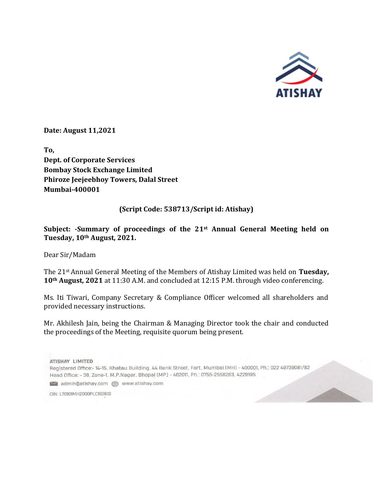

**Date: August 11,2021**

**To, Dept. of Corporate Services Bombay Stock Exchange Limited Phiroze Jeejeebhoy Towers, Dalal Street Mumbai-400001** 

## **(Script Code: 538713/Script id: Atishay)**

**Subject: -Summary of proceedings of the 21st Annual General Meeting held on Tuesday, 10th August, 2021.**

Dear Sir/Madam

The 21st Annual General Meeting of the Members of Atishay Limited was held on **Tuesday, 10th August, 2021** at 11:30 A.M. and concluded at 12:15 P.M. through video conferencing.

Ms. Iti Tiwari, Company Secretary & Compliance Officer welcomed all shareholders and provided necessary instructions.

Mr. Akhilesh Jain, being the Chairman & Managing Director took the chair and conducted the proceedings of the Meeting, requisite quorum being present.

ATISHAY LIMITED Registered Office:- 14-15, Khatau Building, 44 Bank Street, Fort, Mumbai (MH) - 400001, Ph.: 022 49739081/82 Head Office: - 36, Zone-1, M.P.Nagar, Bhopal (MP) - 462011, Ph.: 0755-2558283, 4229195 admin@atishay.com **com** www.atishay.com

CIN: L70101MH2000PLC192613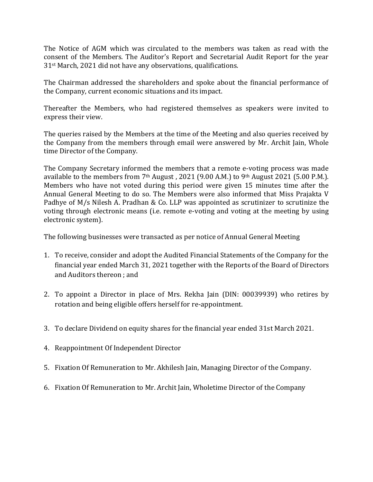The Notice of AGM which was circulated to the members was taken as read with the consent of the Members. The Auditor's Report and Secretarial Audit Report for the year 31st March, 2021 did not have any observations, qualifications.

The Chairman addressed the shareholders and spoke about the financial performance of the Company, current economic situations and its impact.

Thereafter the Members, who had registered themselves as speakers were invited to express their view.

The queries raised by the Members at the time of the Meeting and also queries received by the Company from the members through email were answered by Mr. Archit Jain, Whole time Director of the Company.

The Company Secretary informed the members that a remote e-voting process was made available to the members from 7<sup>th</sup> August, 2021 (9.00 A.M.) to 9<sup>th</sup> August 2021 (5.00 P.M.). Members who have not voted during this period were given 15 minutes time after the Annual General Meeting to do so. The Members were also informed that Miss Prajakta V Padhye of M/s Nilesh A. Pradhan & Co. LLP was appointed as scrutinizer to scrutinize the voting through electronic means (i.e. remote e-voting and voting at the meeting by using electronic system).

The following businesses were transacted as per notice of Annual General Meeting

- 1. To receive, consider and adopt the Audited Financial Statements of the Company for the financial year ended March 31, 2021 together with the Reports of the Board of Directors and Auditors thereon ; and
- 2. To appoint a Director in place of Mrs. Rekha Jain (DIN: 00039939) who retires by rotation and being eligible offers herself for re-appointment.
- 3. To declare Dividend on equity shares for the financial year ended 31st March 2021.
- 4. Reappointment Of Independent Director
- 5. Fixation Of Remuneration to Mr. Akhilesh Jain, Managing Director of the Company.
- 6. Fixation Of Remuneration to Mr. Archit Jain, Wholetime Director of the Company